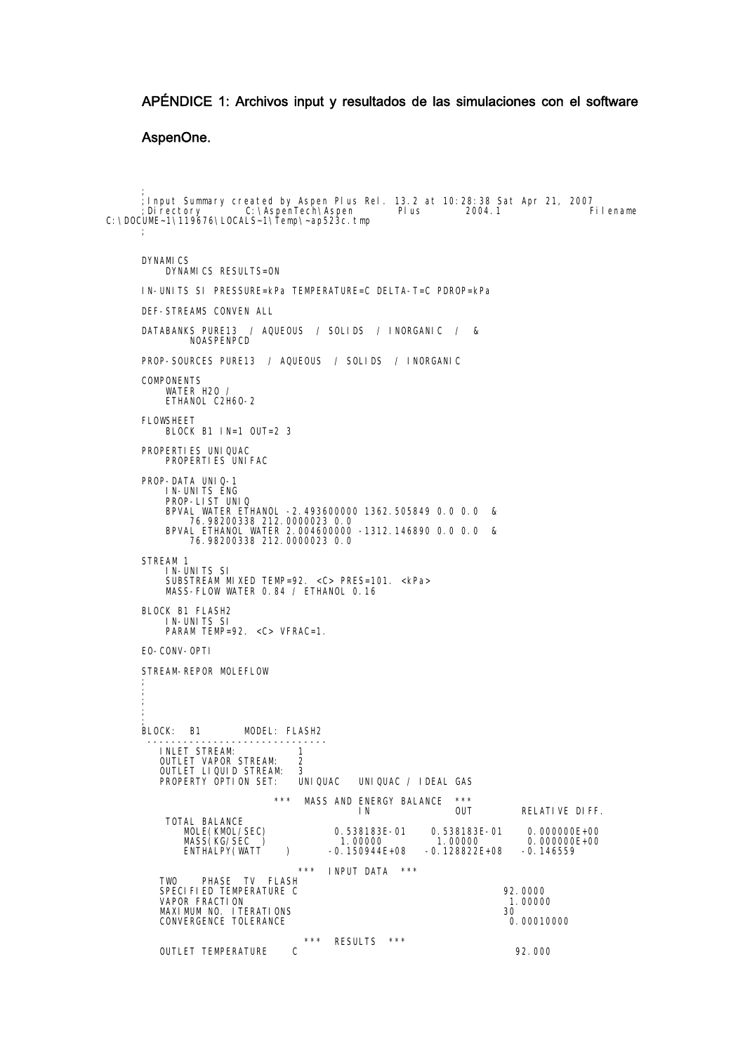## APÉNDICE 1: Archivos input y resultados de las simulaciones con el software

## AspenOne.

; ;Input Summary created by Aspen Plus Rel. 13.2 at 10:28:38 Sat Apr 21, 2007 ;Directory C:\AspenTech\Aspen Plus 2004.1 Filename C:\DOCUME~1\119676\LOCALS~1\Temp\~ap523c.tmp ;

DYNAMICS DYNAMICS RESULTS=ON IN-UNITS SI PRESSURE=kPa TEMPERATURE=C DELTA-T=C PDROP=kPa DEF-STREAMS CONVEN ALL DATABANKS PURE13 / AQUEOUS / SOLIDS / INORGANIC / & **NOASPENPCD** PROP-SOURCES PURE13 / AQUEOUS / SOLIDS / INORGANIC **COMPONENTS** WATER H2O / ETHANOL C2H6O-2 FLOWSHEET BLOCK B1 IN=1 OUT=2 3 PROPERTIES UNIQUAC PROPERTIES UNIFAC PROP-DATA UNIQ-1 IN-UNITS ENG PROP-LIST UNIQ BPVAL WATER ETHANOL -2.493600000 1362.505849 0.0 0.0 & 76.98200338 212.0000023 0.0 BPVAL ETHANOL WATER 2.004600000 -1312.146890 0.0 0.0 & 76.98200338 212.0000023 0.0 STREAM 1 IN-UNITS SI SUBSTREAM MIXED TEMP=92. <C> PRES=101. <kPa> MASS-FLOW WATER 0.84 / ETHANOL 0.16 BLOCK B1 FLASH2 IN-UNITS SI PARAM TEMP=92. <C> VFRAC=1. EO-CONV-OPTI STREAM-REPOR MOLEFLOW ; ; ; ; BLOCK: B1 MODEL: FLASH2 ------------------------------ INLET STREAM: 1<br>OUTLET VAPOR STREAM: 2 OUTLET VAPOR STREAM: 2 OUTLET LIQUID STREAM: 3 PROPERTY OPTION SET: UNIQUAC UNIQUAC / IDEAL GAS \*\*\* MASS AND ENERGY BALANCE \*\*\*<br>IN 0UT RELATIVE DIFF. TOTAL BALANCE MOLE(KMOL/SEC) 0.538183E-01 0.538183E-01 0.000000E+00 MCLE (KMOL/SEC)<br>MASS(KG/SEC )<br>ENTHALPY(WATT ) ENTHALPY(WATT ) -0.150944E+08 -0.128822E+08 -0.146559 \*\*\* INPUT DATA \*\*\* TWO PHASE TV FLASH SPECIFIED TEMPERATURE C 92.0000 VAPOR FRACTION 1.00000 MAXIMUM NO. ITERATIONS 30 CONVERGENCE TOLERANCE 0.00010000 \*\*\* RESULTS \*\*\* OUTLET TEMPERATURE C 2000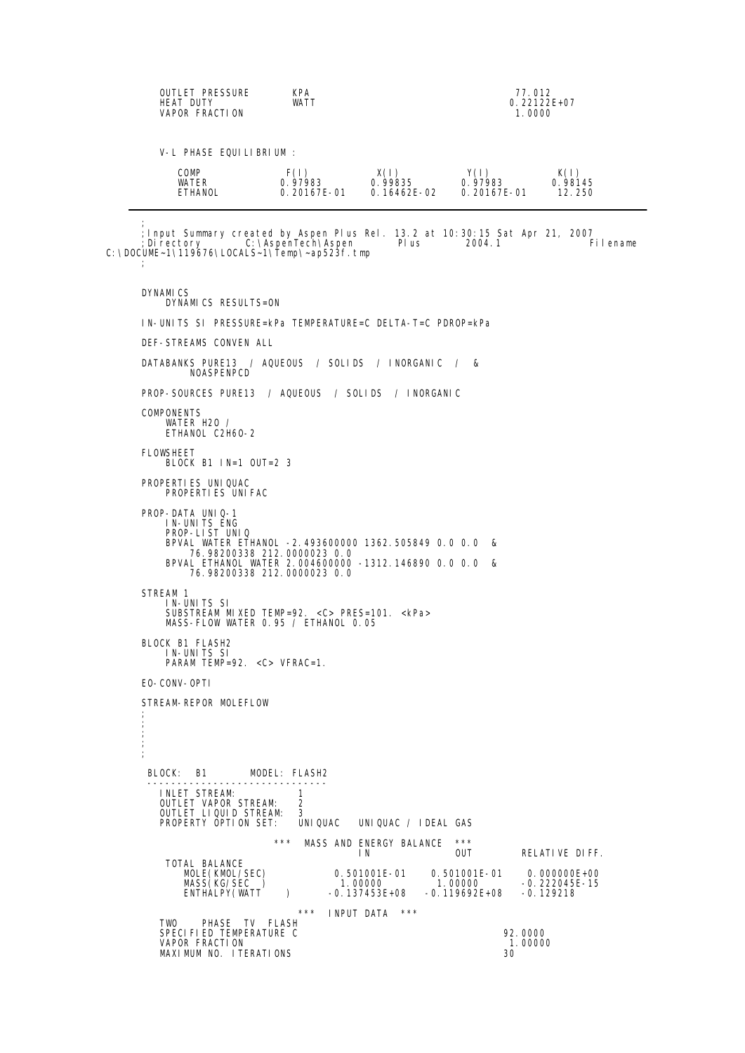|                                                                                                                                                                                                 | <b>KPA</b><br>OUTLET PRESSURE<br><b>HEAT DUTY</b><br>WATT<br>VAPOR FRACTION                          |      | 77.012<br>$0.22122E+07$<br>1.0000 |                                                 |                            |  |
|-------------------------------------------------------------------------------------------------------------------------------------------------------------------------------------------------|------------------------------------------------------------------------------------------------------|------|-----------------------------------|-------------------------------------------------|----------------------------|--|
|                                                                                                                                                                                                 | V-L PHASE EQUILIBRIUM:                                                                               |      |                                   |                                                 |                            |  |
|                                                                                                                                                                                                 | COMP<br>WATER<br>ETHANOL                                                                             | F(1) | X(1)<br>$0.97983$ 0.99835 0.97983 | Y(1)<br>$0.20167E - 01$ 0.16462E-02 0.20167E-01 | K(I)<br>0. 98145<br>12.250 |  |
| ; Input Summary created by Aspen Plus Rel. 13.2 at 10:30:15 Sat Apr 21, 2007<br>: Di rectory C: \AspenTech\Aspen Plus<br>2004.1<br>Fi I ename<br>C: \DOCUME~1\119676\LOCALS~1\Temp\~ap523f. tmp |                                                                                                      |      |                                   |                                                 |                            |  |
|                                                                                                                                                                                                 | <b>DYNAMICS</b><br>DYNAMICS RESULTS=ON<br>IN-UNITS SI PRESSURE=kPa TEMPERATURE=C DELTA-T=C PDROP=kPa |      |                                   |                                                 |                            |  |
|                                                                                                                                                                                                 |                                                                                                      |      |                                   |                                                 |                            |  |
|                                                                                                                                                                                                 |                                                                                                      |      |                                   |                                                 |                            |  |

DEF-STREAMS CONVEN ALL DATABANKS PURE13 / AQUEOUS / SOLIDS / INORGANIC / & NOASPENPCD PROP-SOURCES PURE13 / AQUEOUS / SOLIDS / INORGANIC **COMPONENTS** WATER H2O / ETHANOL C2H6O-2 FLOWSHEET BLOCK B1 IN=1 OUT=2 3 PROPERTIES UNIQUAC PROPERTIES UNIFAC PROP-DATA UNIQ-1 IN-UNITS ENG PROP-LIST UNIQ BPVAL WATER ETHANOL -2.493600000 1362.505849 0.0 0.0 & 76.98200338 212.0000023 0.0 BPVAL ETHANOL WATER 2.004600000 -1312.146890 0.0 0.0 & 76.98200338 212.0000023 0.0 STREAM 1 IN-UNITS SI SUBSTREAM MIXED TEMP=92. <C> PRES=101. <kPa> MASS-FLOW WATER 0.95 / ETHANOL 0.05 BLOCK B1 FLASH2 IN-UNITS SI<br>PARAM TEMP=92. <C> VFRAC=1. EO-CONV-OPTI STREAM-REPOR MOLEFLOW ; ; ; ; ; BLOCK: B1 MODEL: FLASH2 ------------------------------ INLET STREAM: 1 OUTLET VAPOR STREAM: 2 OUTLET LIQUID STREAM: 3 PROPERTY OPTION SET: UNIQUAC UNIQUAC / IDEAL GAS \*\*\* MASS AND ENERGY BALANCE \*\*\*<br>IN RELATIVE DIFF. TOTAL BALANCE AL BALAIN'LE (KMOL/SEC)<br>
MOLE (KMOL/SEC) 0.501001E-01 0.501001E-01 0.000000E+00<br>
MASS (KG/SEC ) 1.00000 1.00000 -0.222045E-15<br>
ENTHALPY (WATT ) -0.137453E+08 -0.119692E+08 -0.129218 MASS(KG/SEC ) 1.00000 1.00000 -0.222045E-15 ENTHALPY(WATT ) -0.137453E+08 -0.119692E+08 -0.129218 \*\*\* INPUT DATA \*\*\* TWO PHASE TV FLASH SPECIFIED TEMPERATURE C 92.0000 VAPOR FRACTION 1.00000 MAXIMUM NO. ITERATIONS 30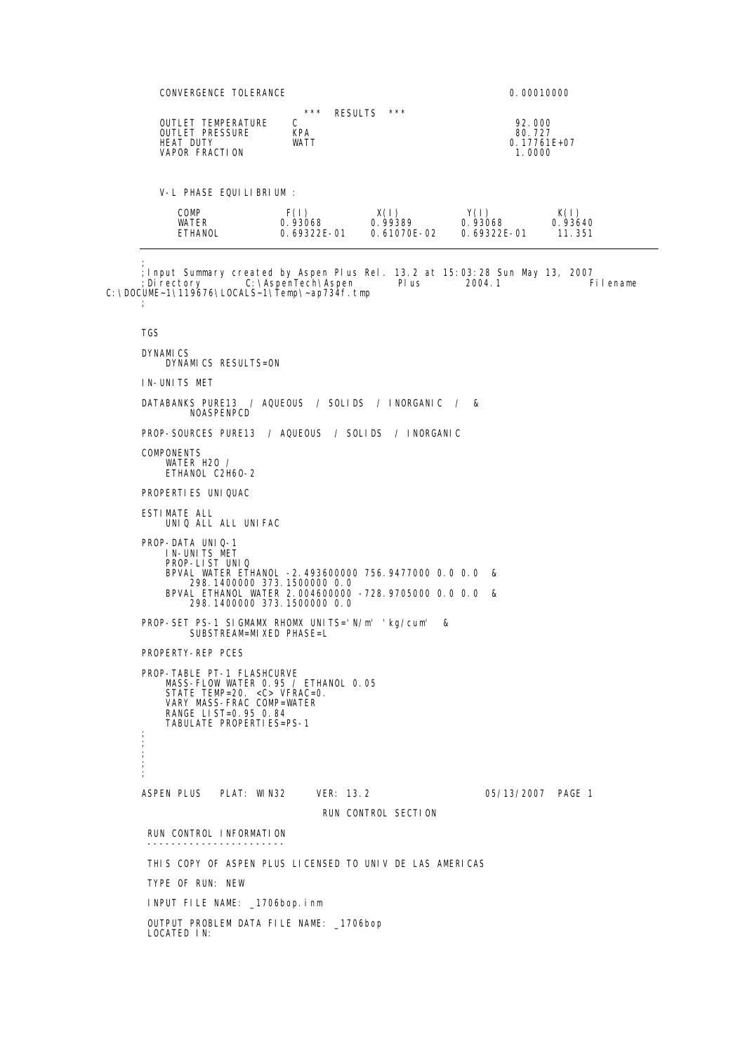CONVERGENCE TOLERANCE **CONVERGENCE** 0.00010000  $k^{***}$  RESULTS \*\*\* OUTLET TEMPERATURE C 92.000 OUTLET PRESSURE KPA 80.727 THEAT DUTLET PRESSURE THE TRANSPORTED THE TRESSURE THEAT DUTY<br>
HEAT DUTY WATT MATT VAPOR FRACTION WATT VAPOR CONTRACTED AND MATT VAPOR FRACTION VAPOR FRACTION V-L PHASE EQUILIBRIUM : COMP F(I) X(I) Y(I) K(I) WATER 0.93068 0.99389 0.93068 0.93640 ETHANOL 0.69322E-01 0.61070E-02 0.69322E-01 11.351 ; ;Input Summary created by Aspen Plus Rel. 13.2 at 15:03:28 Sun May 13, 2007 ;Directory C:\AspenTech\Aspen Plus 2004.1 Filename C:\DOCUME~1\119676\LOCALS~1\Temp\~ap734f.tmp ; TGS DYNAMICS DYNAMICS RESULTS=ON IN-UNITS MET DATABANKS PURE13 / AQUEOUS / SOLIDS / INORGANIC / & NOASPENPCD PROP-SOURCES PURE13 / AQUEOUS / SOLIDS / INORGANIC COMPONENTS WATER H<sub>20</sub> ETHANOL C2H6O-2 PROPERTIES UNIQUAC ESTIMATE ALL UNIQ ALL ALL UNIFAC PROP-DATA UNIQ-1 IN-UNITS MET PROP-LIST UNIQ BPVAL WATER ETHANOL -2.493600000 756.9477000 0.0 0.0 & 298.1400000 373.1500000 0.0 BPVAL ETHANOL WATER 2.004600000 -728.9705000 0.0 0.0 & 298.1400000 373.1500000 0.0 PROP-SET PS-1 SIGMAMX RHOMX UNITS='N/m' 'kg/cum' & SUBSTREAM=MIXED PHASE=L PROPERTY-REP PCES PROP-TABLE PT-1 FLASHCURVE MASS-FLOW WATER 0.95 / ETHANOL 0.05 STATE TEMP=20. <C> VFRAC=0. VARY MASS-FRAC COMP=WATER RANGE LIST=0.95 0.84 TABULATE PROPERTIES=PS-1 ; ; ; ; ; ASPEN PLUS PLAT: WIN32 VER: 13.2 05/13/2007 PAGE 1 RUN CONTROL SECTION RUN CONTROL INFORMATION ----------------------- THIS COPY OF ASPEN PLUS LICENSED TO UNIV DE LAS AMERICAS TYPE OF RUN: NEW INPUT FILE NAME: \_1706bop.inm OUTPUT PROBLEM DATA FILE NAME: \_1706bop LOCATED IN: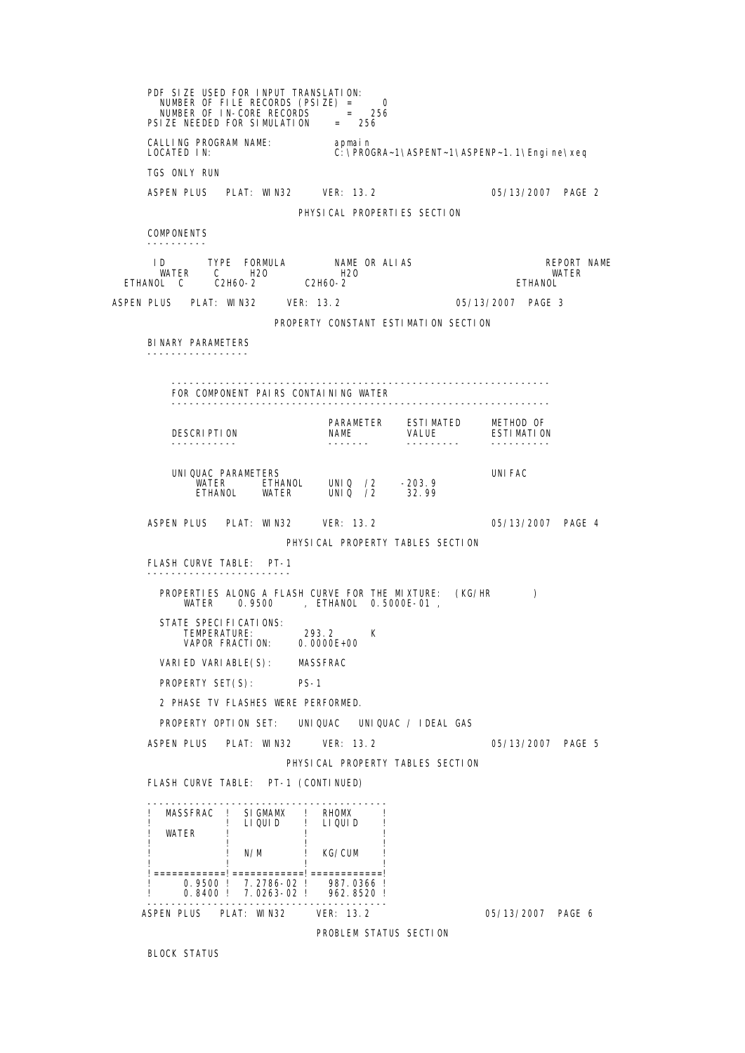PDF SIZE USED FOR INPUT TRANSLATION:<br>NUMBER OF FILE RECORDS (PSIZE) = 0 NUMBER OF IN-CORE RECORDS = 256 PSIZE NEEDED FOR SIMULATION = 256 CALLING PROGRAM NAME: apmain<br>LOCATED IN: C:\PRO C: \PROGRA~1\ASPENT~1\ASPENP~1. 1\Engine\xeq TGS ONLY RUN ASPEN PLUS PLAT: WIN32 VER: 13.2 05/13/2007 PAGE 2 PHYSICAL PROPERTIES SECTION **COMPONENTS**  ---------- ID TYPE FORMULA NAME OR ALIAS REPORT NAME WATER C H2O H2O WATER ETHANOL C C2H6O-2 C2H6O-2 ETHANOL ASPEN PLUS PLAT: WIN32 VER: 13.2 05/13/2007 PAGE 3 PROPERTY CONSTANT ESTIMATION SECTION BINARY PARAMETERS ----------------- --------------------------------------------------------------- FOR COMPONENT PAIRS CONTAINING WATER --------------------------------------------------------------- PARAMETER ESTIMATED METHOD OF DESCRIPTION NAME VALUE ESTIMATION ----------- ------- --------- ---------- UNIQUAC PARAMETERS UNIFAC WATER ETHANOL UNIQ /2 -203.9 ETHANOL WATER UNIQ /2 32.99 ASPEN PLUS PLAT: WIN32 VER: 13.2 05/13/2007 PAGE 4 PHYSICAL PROPERTY TABLES SECTION FLASH CURVE TABLE: PT-1 ------------------------ PROPERTIES ALONG A FLASH CURVE FOR THE MIXTURE: (KG/HR ) WATER 0.9500 , ETHANOL 0.5000E-01 , STATE SPECIFICATIONS: TEMPERATURE: 293.2 K VAPOR FRACTION: 0.0000E+00 VARI ED VARI ABLE(S): MASSFRAC PROPERTY SET(S): PS-1 2 PHASE TV FLASHES WERE PERFORMED. PROPERTY OPTION SET: UNIQUAC UNIQUAC / IDEAL GAS ASPEN PLUS PLAT: WIN32 VER: 13.2 05/13/2007 PAGE 5 PHYSICAL PROPERTY TABLES SECTION FLASH CURVE TABLE: PT-1 (CONTINUED) ---------------------------------------- ! MASSFRAC ! SIGMAMX ! RHOMX ! ! ! LIQUID ! LIQUID ! **WATFR**  ! ! ! ! N/M ! KG/CUM ! ! ! ! !============!============!============! ! 0.9500 ! 7.2786-02 ! 987.0366 ! ! 0.8400 ! 7.0263-02 ! 962.8520 ! ---------------------------------------- ASPEN PLUS PLAT: WIN32 VER: 13.2 05/13/2007 PAGE 6 PROBLEM STATUS SECTION

BLOCK STATUS